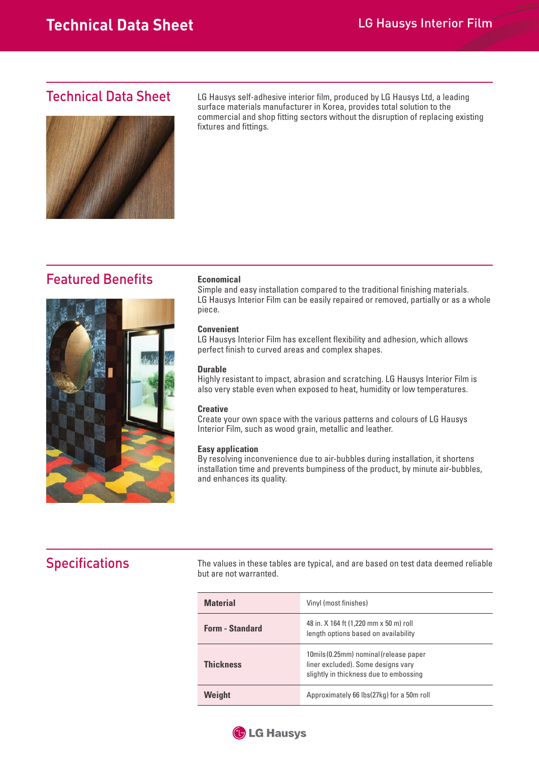### Technical Data Sheet



LG Hausys self-adhesive interior film, produced by LG Hausys Ltd, a leading surface materials manufacturer in Korea, provides total solution to the commercial and shop fitting sectors without the disruption of replacing existing fixtures and fittings.

## **Featured Benefits**



#### **Economical**

Simple and easy installation compared to the traditional finishing materials. LG Hausys Interior Film can be easily repaired or removed, partially or as a whole piece.

#### **Convenient**

LG Hausys Interior Film has excellent flexibility and adhesion, which allows perfect finish to curved areas and complex shapes.

#### **Durable**

Highly resistant to impact, abrasion and scratching. LG Hausys Interior Film is also very stable even when exposed to heat, humidity or low temperatures.

#### **Creative**

Create your own space with the various patterns and colours of LG Hausys Interior Film, such as wood grain, metallic and leather.

#### **Easy application**

 By resolving inconvenience due to air-bubbles during installation, it shortens installation time and prevents bumpiness of the product, by minute air-bubbles, and enhances its quality.

# **Specifications**

The values in these tables are typical, and are based on test data deemed reliable but are not warranted.

| <b>Material</b>        | Vinyl (most finishes)                                                                                                  |  |
|------------------------|------------------------------------------------------------------------------------------------------------------------|--|
| <b>Form - Standard</b> | 48 in. X 164 ft (1,220 mm x 50 m) roll<br>length options based on availability                                         |  |
| <b>Thickness</b>       | 10mils (0.25mm) nominal (release paper<br>liner excluded). Some designs vary<br>slightly in thickness due to embossing |  |
| Weight                 | Approximately 66 lbs(27kg) for a 50m roll                                                                              |  |

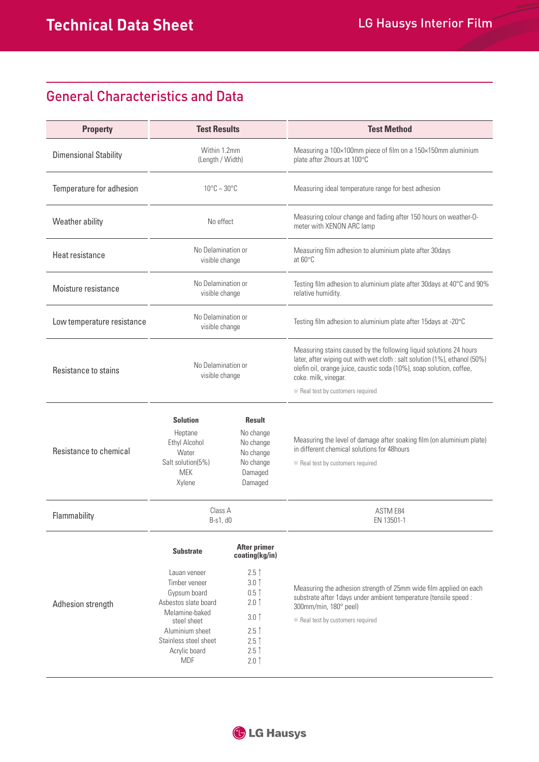# General Characteristics and Data

| <b>Property</b>              | <b>Test Results</b>                                                                                                                                                                                   |                                                                                                                                                                              | <b>Test Method</b>                                                                                                                                                                                                                                                                    |
|------------------------------|-------------------------------------------------------------------------------------------------------------------------------------------------------------------------------------------------------|------------------------------------------------------------------------------------------------------------------------------------------------------------------------------|---------------------------------------------------------------------------------------------------------------------------------------------------------------------------------------------------------------------------------------------------------------------------------------|
| <b>Dimensional Stability</b> | Within 1.2mm<br>(Length / Width)                                                                                                                                                                      |                                                                                                                                                                              | Measuring a 100×100mm piece of film on a 150×150mm aluminium<br>plate after 2hours at 100°C                                                                                                                                                                                           |
| Temperature for adhesion     | $10^{\circ}$ C ~ 30 $^{\circ}$ C                                                                                                                                                                      |                                                                                                                                                                              | Measuring ideal temperature range for best adhesion                                                                                                                                                                                                                                   |
| Weather ability              | No effect                                                                                                                                                                                             |                                                                                                                                                                              | Measuring colour change and fading after 150 hours on weather-O-<br>meter with XENON ARC lamp                                                                                                                                                                                         |
| Heat resistance              | No Delamination or<br>visible change                                                                                                                                                                  |                                                                                                                                                                              | Measuring film adhesion to aluminium plate after 30days<br>at 60°C                                                                                                                                                                                                                    |
| Moisture resistance          | No Delamination or<br>visible change                                                                                                                                                                  |                                                                                                                                                                              | Testing film adhesion to aluminium plate after 30days at 40°C and 90%<br>relative humidity.                                                                                                                                                                                           |
| Low temperature resistance   | No Delamination or<br>visible change                                                                                                                                                                  |                                                                                                                                                                              | Testing film adhesion to aluminium plate after 15days at -20°C                                                                                                                                                                                                                        |
| Resistance to stains         | No Delamination or<br>visible change                                                                                                                                                                  |                                                                                                                                                                              | Measuring stains caused by the following liquid solutions 24 hours<br>later, after wiping out with wet cloth : salt solution (1%), ethanol (50%)<br>olefin oil, orange juice, caustic soda (10%), soap solution, coffee,<br>coke. milk, vinegar.<br>* Real test by customers required |
| Resistance to chemical       | <b>Solution</b><br>Heptane<br>Ethyl Alcohol<br>Water<br>Salt solution(5%)<br><b>MEK</b><br>Xylene                                                                                                     | <b>Result</b><br>No change<br>No change<br>No change<br>No change<br>Damaged<br>Damaged                                                                                      | Measuring the level of damage after soaking film (on aluminium plate)<br>in different chemical solutions for 48 hours<br>* Real test by customers required                                                                                                                            |
| Flammability                 | Class A<br>B-s1, d0                                                                                                                                                                                   |                                                                                                                                                                              | <b>ASTM E84</b><br>EN 13501-1                                                                                                                                                                                                                                                         |
| Adhesion strength            | <b>Substrate</b><br>Lauan veneer<br>Timber veneer<br>Gypsum board<br>Asbestos slate board<br>Melamine-baked<br>steel sheet<br>Aluminium sheet<br>Stainless steel sheet<br>Acrylic board<br><b>MDF</b> | <b>After primer</b><br>coating(kg/in)<br>$2.5$ $\uparrow$<br>$3.0$ 1<br>$0.5$ 1<br>$2.0$ ↑<br>$3.0$ $\uparrow$<br>$2.5$ 1<br>$2.5$ $\uparrow$<br>$2.5$ 1<br>$2.0$ $\uparrow$ | Measuring the adhesion strength of 25mm wide film applied on each<br>substrate after 1days under ambient temperature (tensile speed :<br>300mm/min, 180° peel)<br>* Real test by customers required                                                                                   |

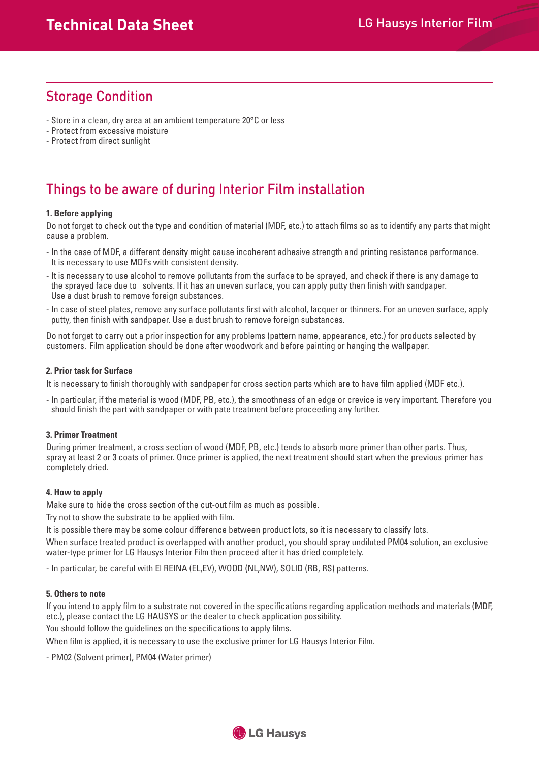# Storage Condition

- Store in a clean, dry area at an ambient temperature 20°C or less
- Protect from excessive moisture
- Protect from direct sunlight

# Things to be aware of during Interior Film installation

### **1. Before applying**

Do not forget to check out the type and condition of material (MDF, etc.) to attach films so as to identify any parts that might cause a problem.

- In the case of MDF, a different density might cause incoherent adhesive strength and printing resistance performance. It is necessary to use MDFs with consistent density.
- It is necessary to use alcohol to remove pollutants from the surface to be sprayed, and check if there is any damage to the sprayed face due to solvents. If it has an uneven surface, you can apply putty then finish with sandpaper. Use a dust brush to remove foreign substances.
- In case of steel plates, remove any surface pollutants first with alcohol, lacquer or thinners. For an uneven surface, apply putty, then finish with sandpaper. Use a dust brush to remove foreign substances.

Do not forget to carry out a prior inspection for any problems (pattern name, appearance, etc.) for products selected by customers. Film application should be done after woodwork and before painting or hanging the wallpaper.

### **2. Prior task for Surface**

It is necessary to finish thoroughly with sandpaper for cross section parts which are to have film applied (MDF etc.).

- In particular, if the material is wood (MDF, PB, etc.), the smoothness of an edge or crevice is very important. Therefore you should finish the part with sandpaper or with pate treatment before proceeding any further.

### **3. Primer Treatment**

During primer treatment, a cross section of wood (MDF, PB, etc.) tends to absorb more primer than other parts. Thus, spray at least 2 or 3 coats of primer. Once primer is applied, the next treatment should start when the previous primer has completely dried.

### **4. How to apply**

Make sure to hide the cross section of the cut-out film as much as possible.

Try not to show the substrate to be applied with film.

It is possible there may be some colour difference between product lots, so it is necessary to classify lots.

When surface treated product is overlapped with another product, you should spray undiluted PM04 solution, an exclusive water-type primer for LG Hausys Interior Film then proceed after it has dried completely.

- In particular, be careful with El REINA (EL,EV), WOOD (NL,NW), SOLID (RB, RS) patterns.

### **5. Others to note**

If you intend to apply film to a substrate not covered in the specifications regarding application methods and materials (MDF, etc.), please contact the LG HAUSYS or the dealer to check application possibility.

You should follow the guidelines on the specifications to apply films.

When film is applied, it is necessary to use the exclusive primer for LG Hausys Interior Film.

- PM02 (Solvent primer), PM04 (Water primer)

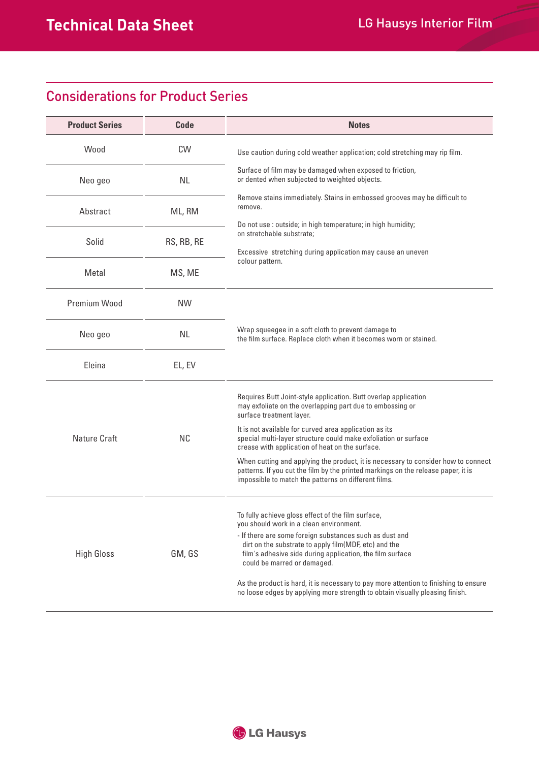# Considerations for Product Series

| <b>Product Series</b> | Code       | <b>Notes</b>                                                                                                                                                                                                                                                                   |  |
|-----------------------|------------|--------------------------------------------------------------------------------------------------------------------------------------------------------------------------------------------------------------------------------------------------------------------------------|--|
| Wood                  | CW         | Use caution during cold weather application; cold stretching may rip film.                                                                                                                                                                                                     |  |
| Neo geo               | <b>NL</b>  | Surface of film may be damaged when exposed to friction,<br>or dented when subjected to weighted objects.                                                                                                                                                                      |  |
| Abstract              | ML, RM     | Remove stains immediately. Stains in embossed grooves may be difficult to<br>remove.<br>Do not use : outside; in high temperature; in high humidity;<br>on stretchable substrate;<br>Excessive stretching during application may cause an uneven<br>colour pattern.            |  |
| Solid                 | RS, RB, RE |                                                                                                                                                                                                                                                                                |  |
| Metal                 | MS, ME     |                                                                                                                                                                                                                                                                                |  |
| Premium Wood          | <b>NW</b>  |                                                                                                                                                                                                                                                                                |  |
| Neo geo               | <b>NL</b>  | Wrap squeegee in a soft cloth to prevent damage to<br>the film surface. Replace cloth when it becomes worn or stained.                                                                                                                                                         |  |
| Eleina                | EL, EV     |                                                                                                                                                                                                                                                                                |  |
| Nature Craft          | <b>NC</b>  | Requires Butt Joint-style application. Butt overlap application<br>may exfoliate on the overlapping part due to embossing or<br>surface treatment layer.                                                                                                                       |  |
|                       |            | It is not available for curved area application as its<br>special multi-layer structure could make exfoliation or surface<br>crease with application of heat on the surface.                                                                                                   |  |
|                       |            | When cutting and applying the product, it is necessary to consider how to connect<br>patterns. If you cut the film by the printed markings on the release paper, it is<br>impossible to match the patterns on different films.                                                 |  |
| <b>High Gloss</b>     | GM, GS     | To fully achieve gloss effect of the film surface,<br>you should work in a clean environment.<br>- If there are some foreign substances such as dust and<br>dirt on the substrate to apply film(MDF, etc) and the<br>film's adhesive side during application, the film surface |  |
|                       |            | could be marred or damaged.<br>As the product is hard, it is necessary to pay more attention to finishing to ensure<br>no loose edges by applying more strength to obtain visually pleasing finish.                                                                            |  |